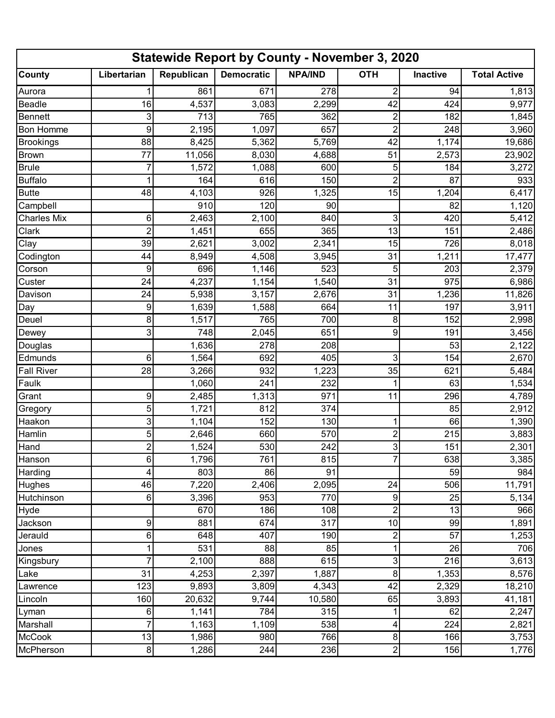| <b>Statewide Report by County - November 3, 2020</b> |             |            |                     |                |                         |          |                     |  |  |  |  |
|------------------------------------------------------|-------------|------------|---------------------|----------------|-------------------------|----------|---------------------|--|--|--|--|
| <b>County</b>                                        | Libertarian | Republican | <b>Democratic</b>   | <b>NPA/IND</b> | <b>OTH</b>              | Inactive | <b>Total Active</b> |  |  |  |  |
| Aurora                                               |             | 861        | 671                 | 278            | $\overline{c}$          | 94       | 1,813               |  |  |  |  |
| Beadle                                               | 16          | 4,537      | 3,083               | 2,299          | 42                      | 424      | 9,977               |  |  |  |  |
| Bennett                                              | 3           | 713        | 765                 | 362            | $\overline{c}$          | 182      | 1,845               |  |  |  |  |
| <b>Bon Homme</b>                                     | 9           | 2,195      | 1,097               | 657            | $\overline{2}$          | 248      | 3,960               |  |  |  |  |
| <b>Brookings</b>                                     | 88          | 8,425      | 5,362               | 5,769          | 42                      | 1,174    | 19,686              |  |  |  |  |
| <b>Brown</b>                                         | 77          | 11,056     | 8,030               | 4,688          | 51                      | 2,573    | 23,902              |  |  |  |  |
| <b>Brule</b>                                         | 7           | 1,572      | 1,088               | 600            | 5                       | 184      | 3,272               |  |  |  |  |
| <b>Buffalo</b>                                       | 1           | 164        | 616                 | 150            | $\overline{2}$          | 87       | 933                 |  |  |  |  |
| <b>Butte</b>                                         | 48          | 4,103      | 926                 | 1,325          | 15                      | 1,204    | 6,417               |  |  |  |  |
| Campbell                                             |             | 910        | 120                 | 90             |                         | 82       | 1,120               |  |  |  |  |
| <b>Charles Mix</b>                                   | 6           | 2,463      | 2,100               | 840            | 3                       | 420      | 5,412               |  |  |  |  |
| Clark                                                | 2           | 1,451      | 655                 | 365            | 13                      | 151      | 2,486               |  |  |  |  |
| Clay                                                 | 39          | 2,621      | 3,002               | 2,341          | 15                      | 726      | 8,018               |  |  |  |  |
| Codington                                            | 44          | 8,949      | 4,508               | 3,945          | 31                      | 1,211    | 17,477              |  |  |  |  |
| Corson                                               | 9           | 696        | 1,146               | 523            | 5                       | 203      | 2,379               |  |  |  |  |
| Custer                                               | 24          | 4,237      | 1,154               | 1,540          | 31                      | 975      | 6,986               |  |  |  |  |
| Davison                                              | 24          | 5,938      | $\overline{3}, 157$ | 2,676          | 31                      | 1,236    | 11,826              |  |  |  |  |
| Day                                                  | 9           | 1,639      | 1,588               | 664            | 11                      | 197      | 3,911               |  |  |  |  |
| Deuel                                                | 8           | 1,517      | 765                 | 700            | 8                       | 152      | 2,998               |  |  |  |  |
| Dewey                                                | 3           | 748        | 2,045               | 651            | 9                       | 191      | 3,456               |  |  |  |  |
| Douglas                                              |             | 1,636      | 278                 | 208            |                         | 53       | 2,122               |  |  |  |  |
| Edmunds                                              | 6           | 1,564      | 692                 | 405            | 3                       | 154      | 2,670               |  |  |  |  |
| <b>Fall River</b>                                    | 28          | 3,266      | 932                 | 1,223          | 35                      | 621      | 5,484               |  |  |  |  |
| Faulk                                                |             | 1,060      | 241                 | 232            |                         | 63       | 1,534               |  |  |  |  |
| Grant                                                | 9           | 2,485      | 1,313               | 971            | 11                      | 296      | 4,789               |  |  |  |  |
| Gregory                                              | 5           | 1,721      | 812                 | 374            |                         | 85       | 2,912               |  |  |  |  |
| Haakon                                               | 3           | 1,104      | 152                 | 130            | 1                       | 66       | 1,390               |  |  |  |  |
| Hamlin                                               | 5           | 2,646      | 660                 | 570            | $\overline{\mathbf{c}}$ | 215      | 3,883               |  |  |  |  |
| Hand                                                 | 2           | 1,524      | 530                 | 242            | $\overline{3}$          | 151      | 2,301               |  |  |  |  |
| Hanson                                               | 6           | 1,796      | 761                 | 815            | 7                       | 638      | 3,385               |  |  |  |  |
| Harding                                              | 4           | 803        | 86                  | 91             |                         | 59       | 984                 |  |  |  |  |
| Hughes                                               | 46          | 7,220      | 2,406               | 2,095          | 24                      | 506      | 11,791              |  |  |  |  |
| Hutchinson                                           | 6           | 3,396      | 953                 | 770            | 9                       | 25       | 5,134               |  |  |  |  |
| Hyde                                                 |             | 670        | 186                 | 108            | $\overline{c}$          | 13       | 966                 |  |  |  |  |
| Jackson                                              | 9           | 881        | 674                 | 317            | 10                      | 99       | 1,891               |  |  |  |  |
| Jerauld                                              | 6           | 648        | 407                 | 190            | $\overline{c}$          | 57       | 1,253               |  |  |  |  |
| Jones                                                | 1           | 531        | 88                  | 85             | 1                       | 26       | 706                 |  |  |  |  |
| Kingsbury                                            | 7           | 2,100      | 888                 | 615            | 3                       | 216      | 3,613               |  |  |  |  |
| Lake                                                 | 31          | 4,253      | 2,397               | 1,887          | 8                       | 1,353    | 8,576               |  |  |  |  |
| Lawrence                                             | 123         | 9,893      | 3,809               | 4,343          | 42                      | 2,329    | 18,210              |  |  |  |  |
| Lincoln                                              | 160         | 20,632     | 9,744               | 10,580         | 65                      | 3,893    | 41,181              |  |  |  |  |
| Lyman                                                | 6           | 1,141      | 784                 | 315            | 1                       | 62       | 2,247               |  |  |  |  |
| Marshall                                             | 7           | 1,163      | 1,109               | 538            | 4                       | 224      | 2,821               |  |  |  |  |
| <b>McCook</b>                                        | 13          | 1,986      | 980                 | 766            | 8                       | 166      | 3,753               |  |  |  |  |
| McPherson                                            | 8           | 1,286      | 244                 | 236            | $\overline{\mathbf{c}}$ | 156      | 1,776               |  |  |  |  |